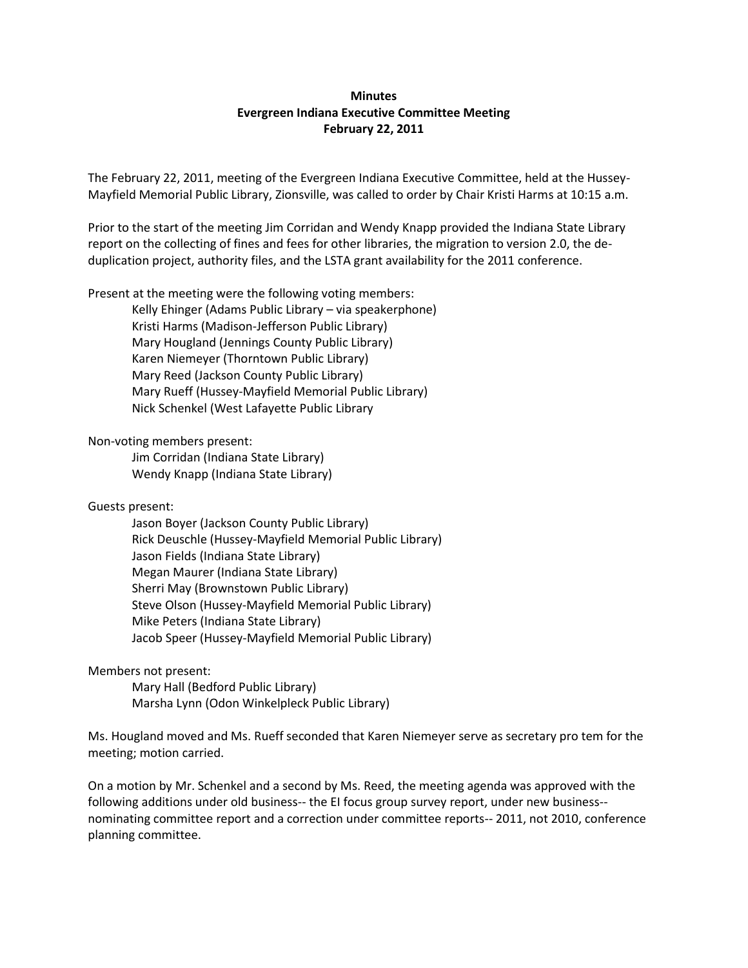## **Minutes Evergreen Indiana Executive Committee Meeting February 22, 2011**

The February 22, 2011, meeting of the Evergreen Indiana Executive Committee, held at the Hussey-Mayfield Memorial Public Library, Zionsville, was called to order by Chair Kristi Harms at 10:15 a.m.

Prior to the start of the meeting Jim Corridan and Wendy Knapp provided the Indiana State Library report on the collecting of fines and fees for other libraries, the migration to version 2.0, the deduplication project, authority files, and the LSTA grant availability for the 2011 conference.

Present at the meeting were the following voting members:

Kelly Ehinger (Adams Public Library – via speakerphone) Kristi Harms (Madison-Jefferson Public Library) Mary Hougland (Jennings County Public Library) Karen Niemeyer (Thorntown Public Library) Mary Reed (Jackson County Public Library) Mary Rueff (Hussey-Mayfield Memorial Public Library) Nick Schenkel (West Lafayette Public Library

Non-voting members present:

Jim Corridan (Indiana State Library) Wendy Knapp (Indiana State Library)

Guests present:

Jason Boyer (Jackson County Public Library) Rick Deuschle (Hussey-Mayfield Memorial Public Library) Jason Fields (Indiana State Library) Megan Maurer (Indiana State Library) Sherri May (Brownstown Public Library) Steve Olson (Hussey-Mayfield Memorial Public Library) Mike Peters (Indiana State Library) Jacob Speer (Hussey-Mayfield Memorial Public Library)

Members not present:

Mary Hall (Bedford Public Library) Marsha Lynn (Odon Winkelpleck Public Library)

Ms. Hougland moved and Ms. Rueff seconded that Karen Niemeyer serve as secretary pro tem for the meeting; motion carried.

On a motion by Mr. Schenkel and a second by Ms. Reed, the meeting agenda was approved with the following additions under old business-- the EI focus group survey report, under new business- nominating committee report and a correction under committee reports-- 2011, not 2010, conference planning committee.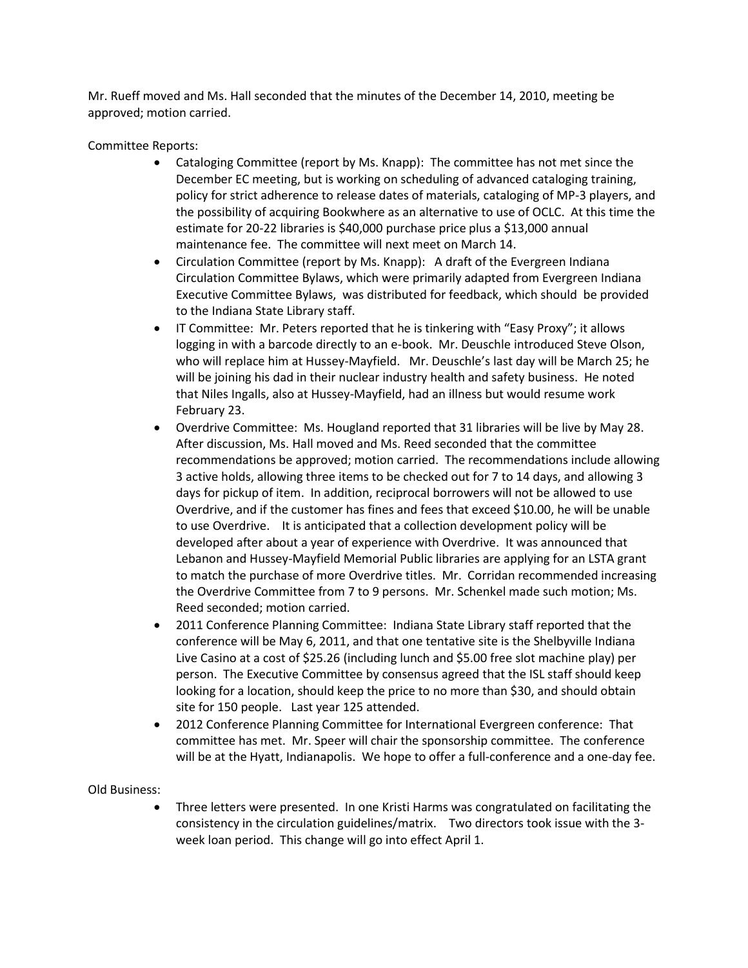Mr. Rueff moved and Ms. Hall seconded that the minutes of the December 14, 2010, meeting be approved; motion carried.

Committee Reports:

- Cataloging Committee (report by Ms. Knapp): The committee has not met since the December EC meeting, but is working on scheduling of advanced cataloging training, policy for strict adherence to release dates of materials, cataloging of MP-3 players, and the possibility of acquiring Bookwhere as an alternative to use of OCLC. At this time the estimate for 20-22 libraries is \$40,000 purchase price plus a \$13,000 annual maintenance fee. The committee will next meet on March 14.
- Circulation Committee (report by Ms. Knapp): A draft of the Evergreen Indiana Circulation Committee Bylaws, which were primarily adapted from Evergreen Indiana Executive Committee Bylaws, was distributed for feedback, which should be provided to the Indiana State Library staff.
- IT Committee: Mr. Peters reported that he is tinkering with "Easy Proxy"; it allows logging in with a barcode directly to an e-book. Mr. Deuschle introduced Steve Olson, who will replace him at Hussey-Mayfield. Mr. Deuschle's last day will be March 25; he will be joining his dad in their nuclear industry health and safety business. He noted that Niles Ingalls, also at Hussey-Mayfield, had an illness but would resume work February 23.
- Overdrive Committee: Ms. Hougland reported that 31 libraries will be live by May 28. After discussion, Ms. Hall moved and Ms. Reed seconded that the committee recommendations be approved; motion carried. The recommendations include allowing 3 active holds, allowing three items to be checked out for 7 to 14 days, and allowing 3 days for pickup of item. In addition, reciprocal borrowers will not be allowed to use Overdrive, and if the customer has fines and fees that exceed \$10.00, he will be unable to use Overdrive. It is anticipated that a collection development policy will be developed after about a year of experience with Overdrive. It was announced that Lebanon and Hussey-Mayfield Memorial Public libraries are applying for an LSTA grant to match the purchase of more Overdrive titles. Mr. Corridan recommended increasing the Overdrive Committee from 7 to 9 persons. Mr. Schenkel made such motion; Ms. Reed seconded; motion carried.
- 2011 Conference Planning Committee: Indiana State Library staff reported that the conference will be May 6, 2011, and that one tentative site is the Shelbyville Indiana Live Casino at a cost of \$25.26 (including lunch and \$5.00 free slot machine play) per person. The Executive Committee by consensus agreed that the ISL staff should keep looking for a location, should keep the price to no more than \$30, and should obtain site for 150 people. Last year 125 attended.
- 2012 Conference Planning Committee for International Evergreen conference: That committee has met. Mr. Speer will chair the sponsorship committee. The conference will be at the Hyatt, Indianapolis. We hope to offer a full-conference and a one-day fee.

## Old Business:

 Three letters were presented. In one Kristi Harms was congratulated on facilitating the consistency in the circulation guidelines/matrix. Two directors took issue with the 3 week loan period. This change will go into effect April 1.